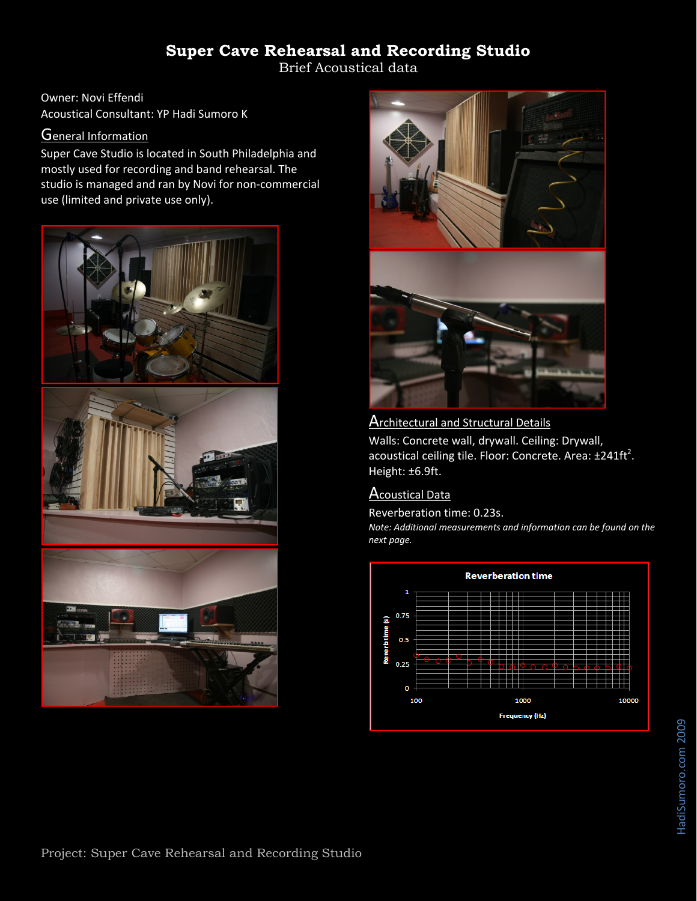Brief Acoustical data

Owner: Novi Effendi Acoustical Consultant: YP Hadi Sumoro K

#### **General Information**

Super Cave Studio is located in South Philadelphia and mostly used for recording and band rehearsal. The studio is managed and ran by Novi for non‐commercial use (limited and private use only).





### **Architectural and Structural Details**

Walls: Concrete wall, drywall. Ceiling: Drywall, acoustical ceiling tile. Floor: Concrete. Area:  $\pm 241 \text{ft}^2$ . Height: ±6.9ft.

### Acoustical Data

Reverberation time: 0.23s.

*Note: Additional measurements and information can be found on the next page.*

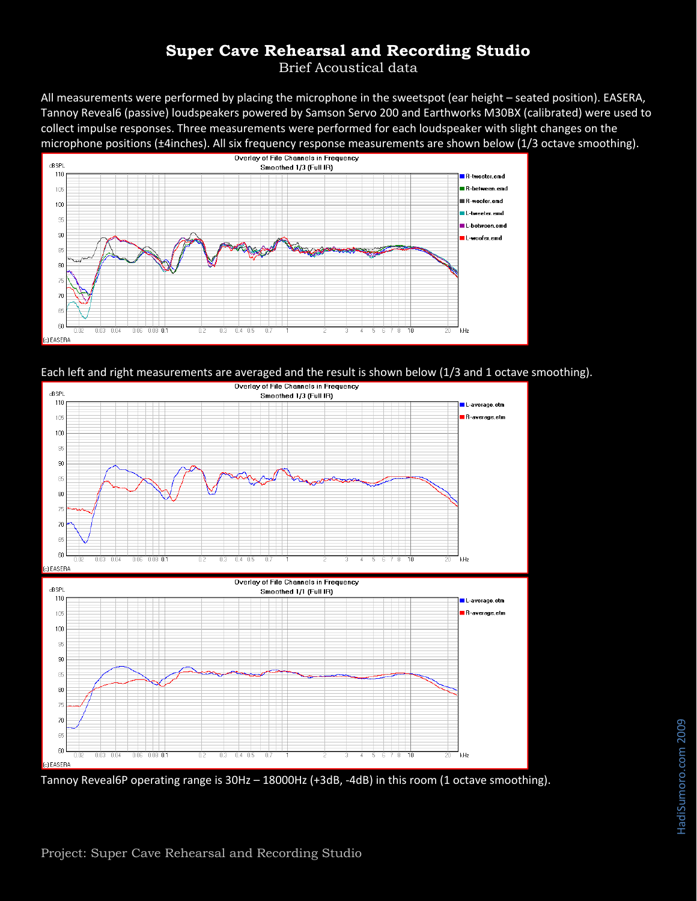Brief Acoustical data

All measurements were performed by placing the microphone in the sweetspot (ear height – seated position). EASERA, Tannoy Reveal6 (passive) loudspeakers powered by Samson Servo 200 and Earthworks M30BX (calibrated) were used to collect impulse responses. Three measurements were performed for each loudspeaker with slight changes on the microphone positions (±4inches). All six frequency response measurements are shown below (1/3 octave smoothing).







Tannoy Reveal6P operating range is 30Hz – 18000Hz (+3dB, ‐4dB) in this room (1 octave smoothing).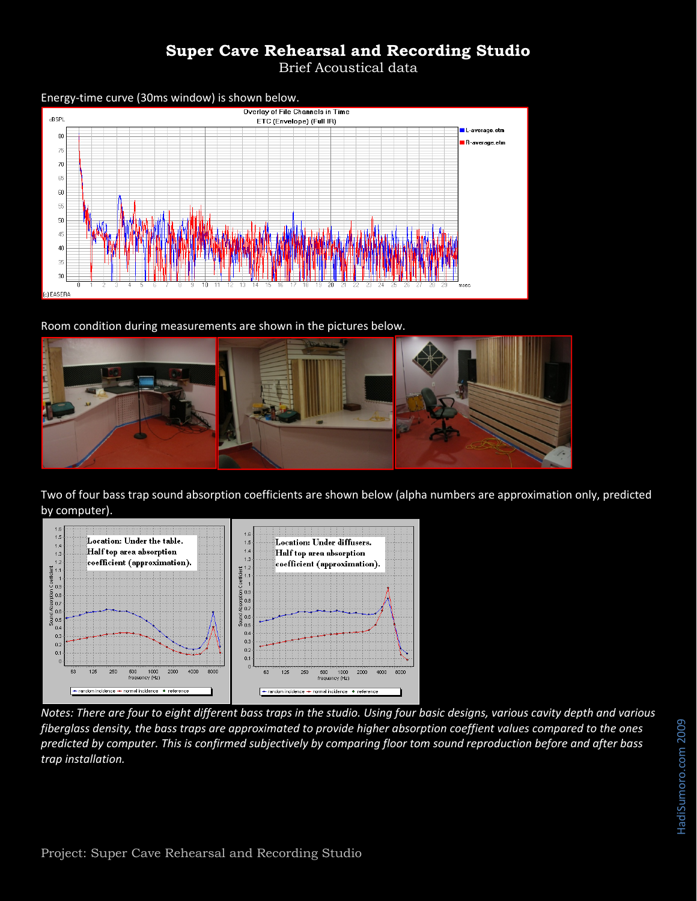Brief Acoustical data



Room condition during measurements are shown in the pictures below.



Two of four bass trap sound absorption coefficients are shown below (alpha numbers are approximation only, predicted by computer).



Notes: There are four to eight different bass traps in the studio. Using four basic designs, various cavity depth and various fiberglass density, the bass traps are approximated to provide higher absorption coeffient values compared to the ones predicted by computer. This is confirmed subjectively by comparing floor tom sound reproduction before and after bass *trap installation.*